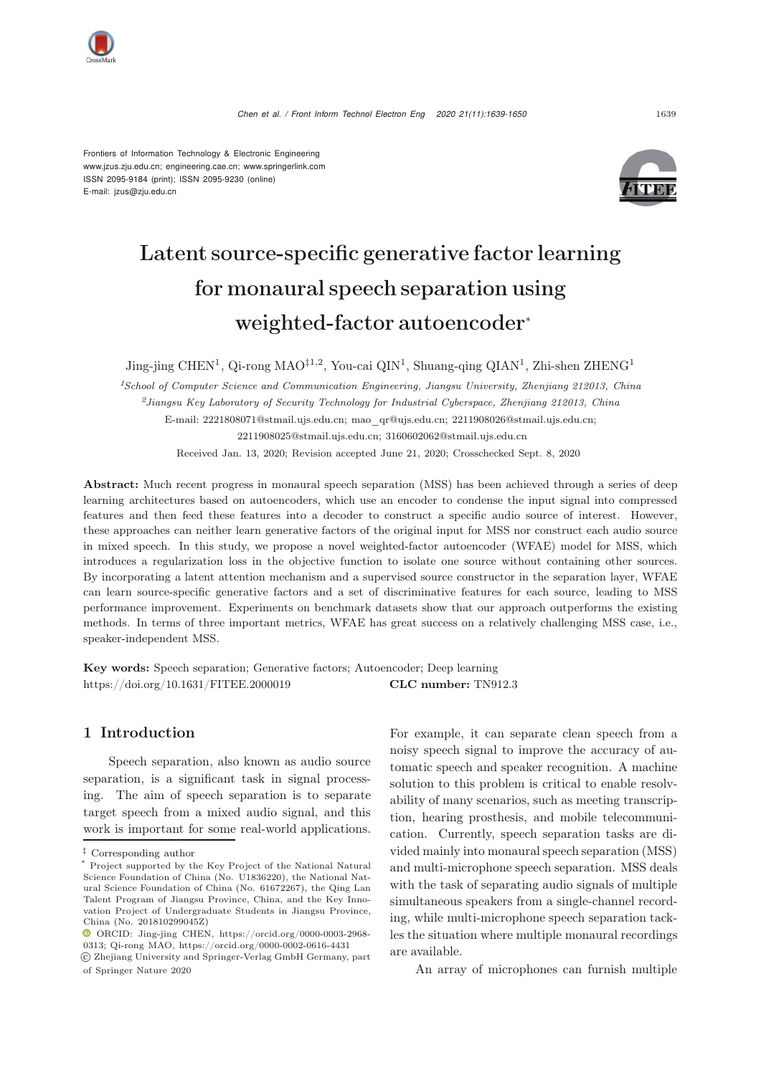Frontiers of Information Technology & Electronic Engineering [www.jzus.zju.edu.cn;](www.jzus.zju.edu.cn) [engineering.cae.cn;](engineering.cae.cn)<www.springerlink.com> ISSN 2095-9184 (print); ISSN 2095-9230 (online) E-mail: jzus@zju.edu.cn



# Latent source-specific generative factor learning for monaural speech separation using weighted-factor autoencoder<sup>∗</sup>

Jing-jing CHEN<sup>1</sup>, Qi-rong MAO<sup>‡1,2</sup>, You-cai QIN<sup>1</sup>, Shuang-qing QIAN<sup>1</sup>, Zhi-shen ZHENG<sup>1</sup>

*<sup>1</sup>School of Computer Science and Communication Engineering, Jiangsu University, Zhenjiang 212013, China <sup>2</sup>Jiangsu Key Laboratory of Security Technology for Industrial Cyberspace, Zhenjiang 212013, China* E-mail: 2221808071@stmail.ujs.edu.cn; mao\_qr@ujs.edu.cn; 2211908026@stmail.ujs.edu.cn; 2211908025@stmail.ujs.edu.cn; 3160602062@stmail.ujs.edu.cn Received Jan. 13, 2020; Revision accepted June 21, 2020; Crosschecked Sept. 8, 2020

Abstract: Much recent progress in monaural speech separation (MSS) has been achieved through a series of deep learning architectures based on autoencoders, which use an encoder to condense the input signal into compressed features and then feed these features into a decoder to construct a specific audio source of interest. However, these approaches can neither learn generative factors of the original input for MSS nor construct each audio source in mixed speech. In this study, we propose a novel weighted-factor autoencoder (WFAE) model for MSS, which introduces a regularization loss in the objective function to isolate one source without containing other sources. By incorporating a latent attention mechanism and a supervised source constructor in the separation layer, WFAE can learn source-specific generative factors and a set of discriminative features for each source, leading to MSS performance improvement. Experiments on benchmark datasets show that our approach outperforms the existing methods. In terms of three important metrics, WFAE has great success on a relatively challenging MSS case, i.e., speaker-independent MSS.

Key words: Speech separation; Generative factors; Autoencoder; Deep learning https://doi.org/10.1631/FITEE.2000019 CLC number: TN912.3

# 1 Introduction

Speech separation, also known as audio source separation, is a significant task in signal processing. The aim of speech separation is to separate target speech from a mixed audio signal, and this work is important for some real-world applications.

For example, it can separate clean speech from a noisy speech signal to improve the accuracy of automatic speech and speaker recognition. A machine solution to this problem is critical to enable resolvability of many scenarios, such as meeting transcription, hearing prosthesis, and mobile telecommunication. Currently, speech separation tasks are divided mainly into monaural speech separation (MSS) and multi-microphone speech separation. MSS deals with the task of separating audio signals of multiple simultaneous speakers from a single-channel recording, while multi-microphone speech separation tackles the situation where multiple monaural recordings are available.

An array of microphones can furnish multiple

*<sup>‡</sup>* Corresponding author

Project supported by the Key Project of the National Natural Science Foundation of China (No. U1836220), the National Natural Science Foundation of China (No. 61672267), the Qing Lan Talent Program of Jiangsu Province, China, and the Key Innovation Project of Undergraduate Students in Jiangsu Province, China (No. 201810299045Z)

ORCID: Jing-jing CHEN, https://orcid.org/0000-0003-2968- 0313; Qi-rong MAO, https://orcid.org/0000-0002-0616-4431

c Zhejiang University and Springer-Verlag GmbH Germany, part of Springer Nature 2020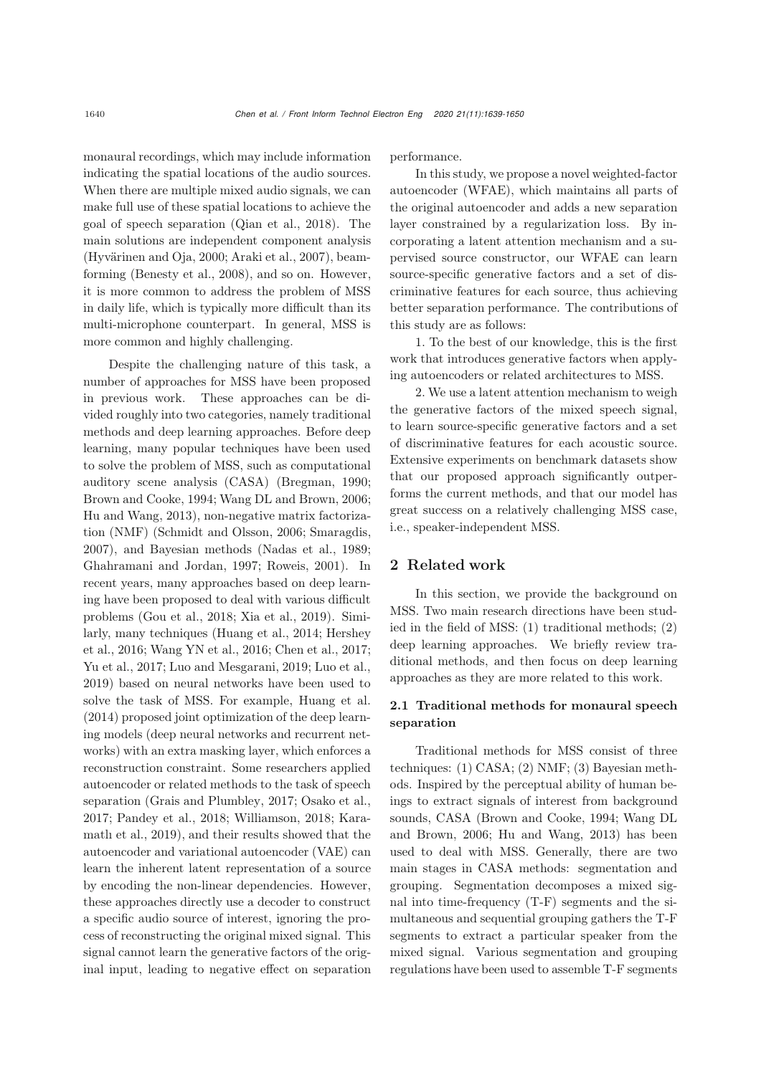monaural recordings, which may include information indicating the spatial locations of the audio sources. When there are multiple mixed audio signals, we can make full use of these spatial locations to achieve the goal of speech separation [\(Qian et al.](#page-11-0), [2018](#page-11-0)). The main solutions are independent component analysis [\(Hyvärinen and Oja](#page-11-1), [2000;](#page-11-1) [Araki et al.](#page-10-0), [2007](#page-10-0)), beamforming [\(Benesty et al.](#page-10-1), [2008](#page-10-1)), and so on. However, it is more common to address the problem of MSS in daily life, which is typically more difficult than its multi-microphone counterpart. In general, MSS is more common and highly challenging.

Despite the challenging nature of this task, a number of approaches for MSS have been proposed in previous work. These approaches can be divided roughly into two categories, namely traditional methods and deep learning approaches. Before deep learning, many popular techniques have been used to solve the problem of MSS, such as computational auditory scene analysis (CASA) [\(Bregman](#page-10-2), [1990;](#page-10-2) [Brown and Cooke](#page-10-3), [1994;](#page-10-3) [Wang DL and Brown](#page-11-2), [2006;](#page-11-2) [Hu and Wang, 2013](#page-11-3)), non-negative matrix factorization (NMF) [\(Schmidt and Olsson, 2006;](#page-11-4) [Smaragdis,](#page-11-5) [2007](#page-11-5)), and Bayesian methods [\(Nadas et al.](#page-11-6), [1989;](#page-11-6) [Ghahramani and Jordan, 1997;](#page-10-4) [Roweis](#page-11-7), [2001](#page-11-7)). In recent years, many approaches based on deep learning have been proposed to deal with various difficult problems [\(Gou et al.](#page-10-5), [2018](#page-10-5); [Xia et al.](#page-11-8), [2019\)](#page-11-8). Similarly, [many](#page-10-6) [techniques](#page-10-6) [\(Huang et al.](#page-11-9)[,](#page-10-6) [2014](#page-11-9)[;](#page-10-6) Hershey et al., [2016](#page-10-6); [Wang YN et al.](#page-11-10), [2016;](#page-11-10) [Chen et al.](#page-10-7), [2017;](#page-10-7) [Yu et al., 2017](#page-11-11); [Luo and Mesgarani, 2019;](#page-11-12) [Luo et al.](#page-11-13), [2019](#page-11-13)) based on neural networks have been used to solve the task of MSS. For example, [Huang et al.](#page-11-9) [\(2014](#page-11-9)) proposed joint optimization of the deep learning models (deep neural networks and recurrent networks) with an extra masking layer, which enforces a reconstruction constraint. Some researchers applied autoencoder or related methods to the task of speech separation [\(Grais and Plumbley, 2017](#page-10-8); [Osako et al.](#page-11-14), [2017](#page-11-14); [Pandey et al.](#page-11-15)[,](#page-11-17) [2018](#page-11-15)[;](#page-11-17) [Williamson](#page-11-16)[,](#page-11-17) [2018;](#page-11-16) Karamatlı et al., [2019](#page-11-17)), and their results showed that the autoencoder and variational autoencoder (VAE) can learn the inherent latent representation of a source by encoding the non-linear dependencies. However, these approaches directly use a decoder to construct a specific audio source of interest, ignoring the process of reconstructing the original mixed signal. This signal cannot learn the generative factors of the original input, leading to negative effect on separation

performance.

In this study, we propose a novel weighted-factor autoencoder (WFAE), which maintains all parts of the original autoencoder and adds a new separation layer constrained by a regularization loss. By incorporating a latent attention mechanism and a supervised source constructor, our WFAE can learn source-specific generative factors and a set of discriminative features for each source, thus achieving better separation performance. The contributions of this study are as follows:

1. To the best of our knowledge, this is the first work that introduces generative factors when applying autoencoders or related architectures to MSS.

2. We use a latent attention mechanism to weigh the generative factors of the mixed speech signal, to learn source-specific generative factors and a set of discriminative features for each acoustic source. Extensive experiments on benchmark datasets show that our proposed approach significantly outperforms the current methods, and that our model has great success on a relatively challenging MSS case, i.e., speaker-independent MSS.

## 2 Related work

In this section, we provide the background on MSS. Two main research directions have been studied in the field of MSS: (1) traditional methods; (2) deep learning approaches. We briefly review traditional methods, and then focus on deep learning approaches as they are more related to this work.

# 2.1 Traditional methods for monaural speech separation

Traditional methods for MSS consist of three techniques: (1) CASA; (2) NMF; (3) Bayesian methods. Inspired by the perceptual ability of human beings to extract signals of interest from background sounds, C[ASA](#page-11-2) [\(Brown and Cooke](#page-10-3)[,](#page-11-2) [1994;](#page-10-3) Wang DL and Brown, [2006](#page-11-2); [Hu and Wang, 2013\)](#page-11-3) has been used to deal with MSS. Generally, there are two main stages in CASA methods: segmentation and grouping. Segmentation decomposes a mixed signal into time-frequency (T-F) segments and the simultaneous and sequential grouping gathers the T-F segments to extract a particular speaker from the mixed signal. Various segmentation and grouping regulations have been used to assemble T-F segments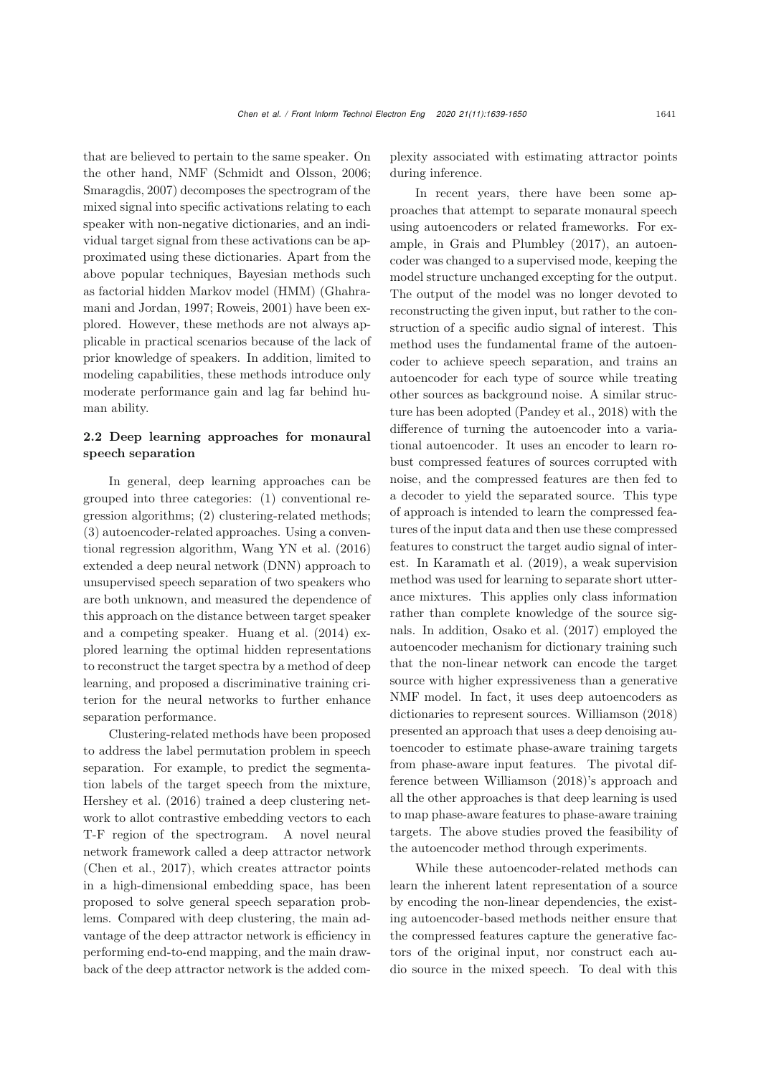that are believed to pertain to the same speaker. On the other hand, NMF [\(Schmidt and Olsson, 2006;](#page-11-4) [Smaragdis](#page-11-5), [2007](#page-11-5)) decomposes the spectrogram of the mixed signal into specific activations relating to each speaker with non-negative dictionaries, and an individual target signal from these activations can be approximated using these dictionaries. Apart from the above popular techniques, Bayesian methods such as factorial hidd[en](#page-10-4) [Markov](#page-10-4) [model](#page-10-4) [\(HMM\)](#page-10-4) [\(](#page-10-4)Ghahramani and Jordan, [1997](#page-10-4); [Roweis, 2001](#page-11-7)) have been explored. However, these methods are not always applicable in practical scenarios because of the lack of prior knowledge of speakers. In addition, limited to modeling capabilities, these methods introduce only moderate performance gain and lag far behind human ability.

# 2.2 Deep learning approaches for monaural speech separation

In general, deep learning approaches can be grouped into three categories: (1) conventional regression algorithms; (2) clustering-related methods; (3) autoencoder-related approaches. Using a conventional regression algorithm, [Wang YN et al.](#page-11-10) [\(2016](#page-11-10)) extended a deep neural network (DNN) approach to unsupervised speech separation of two speakers who are both unknown, and measured the dependence of this approach on the distance between target speaker and a competing speaker. [Huang et al.](#page-11-9) [\(2014](#page-11-9)) explored learning the optimal hidden representations to reconstruct the target spectra by a method of deep learning, and proposed a discriminative training criterion for the neural networks to further enhance separation performance.

Clustering-related methods have been proposed to address the label permutation problem in speech separation. For example, to predict the segmentation labels of the target speech from the mixture, [Hershey et al.](#page-10-6) [\(2016\)](#page-10-6) trained a deep clustering network to allot contrastive embedding vectors to each T-F region of the spectrogram. A novel neural network framework called a deep attractor network [\(Chen et al.](#page-10-7), [2017](#page-10-7)), which creates attractor points in a high-dimensional embedding space, has been proposed to solve general speech separation problems. Compared with deep clustering, the main advantage of the deep attractor network is efficiency in performing end-to-end mapping, and the main drawback of the deep attractor network is the added complexity associated with estimating attractor points during inference.

In recent years, there have been some approaches that attempt to separate monaural speech using autoencoders or related frameworks. For example, in [Grais and Plumbley](#page-10-8) [\(2017](#page-10-8)), an autoencoder was changed to a supervised mode, keeping the model structure unchanged excepting for the output. The output of the model was no longer devoted to reconstructing the given input, but rather to the construction of a specific audio signal of interest. This method uses the fundamental frame of the autoencoder to achieve speech separation, and trains an autoencoder for each type of source while treating other sources as background noise. A similar structure has been adopted [\(Pandey et al., 2018](#page-11-15)) with the difference of turning the autoencoder into a variational autoencoder. It uses an encoder to learn robust compressed features of sources corrupted with noise, and the compressed features are then fed to a decoder to yield the separated source. This type of approach is intended to learn the compressed features of the input data and then use these compressed features to construct the target audio signal of interest. In [Karamatlı et al.](#page-11-17) [\(2019](#page-11-17)), a weak supervision method was used for learning to separate short utterance mixtures. This applies only class information rather than complete knowledge of the source signals. In addition, [Osako et al.](#page-11-14) [\(2017\)](#page-11-14) employed the autoencoder mechanism for dictionary training such that the non-linear network can encode the target source with higher expressiveness than a generative NMF model. In fact, it uses deep autoencoders as dictionaries to represent sources. [Williamson](#page-11-16) [\(2018](#page-11-16)) presented an approach that uses a deep denoising autoencoder to estimate phase-aware training targets from phase-aware input features. The pivotal difference between Williamson (2018)'s approach and all the other approaches is that deep learning is used to map phase-aware features to phase-aware training targets. The above studies proved the feasibility of the autoencoder method through experiments.

While these autoencoder-related methods can learn the inherent latent representation of a source by encoding the non-linear dependencies, the existing autoencoder-based methods neither ensure that the compressed features capture the generative factors of the original input, nor construct each audio source in the mixed speech. To deal with this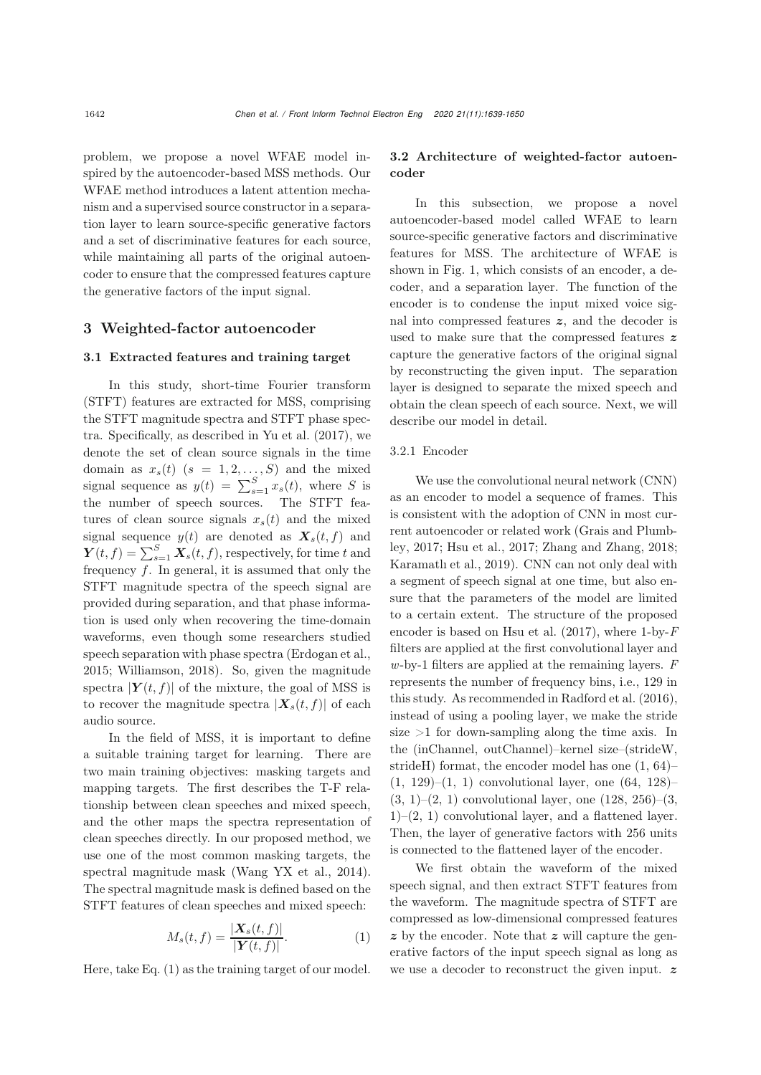problem, we propose a novel WFAE model inspired by the autoencoder-based MSS methods. Our WFAE method introduces a latent attention mechanism and a supervised source constructor in a separation layer to learn source-specific generative factors and a set of discriminative features for each source, while maintaining all parts of the original autoencoder to ensure that the compressed features capture the generative factors of the input signal.

## 3 Weighted-factor autoencoder

#### 3.1 Extracted features and training target

In this study, short-time Fourier transform (STFT) features are extracted for MSS, comprising the STFT magnitude spectra and STFT phase spectra. Specifically, as described in [Yu et al.](#page-11-11) [\(2017](#page-11-11)), we denote the set of clean source signals in the time domain as  $x_s(t)$  ( $s = 1, 2, ..., S$ ) and the mixed signal sequence as  $y(t) = \sum_{s=1}^{S} x_s(t)$ , where S is the number of speech sources. The STFT features of clean source signals  $x<sub>s</sub>(t)$  and the mixed signal sequence  $y(t)$  are denoted as  $\mathbf{X}_s(t, f)$  and  $Y(t, f) = \sum_{s=1}^{S} X_s(t, f)$ , respectively, for time t and frequency  $f$ . In general, it is assumed that only the STFT magnitude spectra of the speech signal are provided during separation, and that phase information is used only when recovering the time-domain waveforms, even though some researchers studied speech separation with phase spectra [\(Erdogan et al.](#page-10-9), [2015](#page-10-9); [Williamson](#page-11-16), [2018\)](#page-11-16). So, given the magnitude spectra  $|Y(t, f)|$  of the mixture, the goal of MSS is to recover the magnitude spectra  $|\mathbf{X}_s(t, f)|$  of each audio source.

In the field of MSS, it is important to define a suitable training target for learning. There are two main training objectives: masking targets and mapping targets. The first describes the T-F relationship between clean speeches and mixed speech, and the other maps the spectra representation of clean speeches directly. In our proposed method, we use one of the most common masking targets, the spectral magnitude mask [\(Wang YX et al., 2014\)](#page-11-18). The spectral magnitude mask is defined based on the STFT features of clean speeches and mixed speech:

$$
M_s(t, f) = \frac{|X_s(t, f)|}{|Y(t, f)|}.
$$
 (1)

Here, take Eq. (1) as the training target of our model.

# 3.2 Architecture of weighted-factor autoencoder

In this subsection, we propose a novel autoencoder-based model called WFAE to learn source-specific generative factors and discriminative features for MSS. The architecture of WFAE is shown in Fig. [1,](#page-4-0) which consists of an encoder, a decoder, and a separation layer. The function of the encoder is to condense the input mixed voice signal into compressed features *z*, and the decoder is used to make sure that the compressed features *z* capture the generative factors of the original signal by reconstructing the given input. The separation layer is designed to separate the mixed speech and obtain the clean speech of each source. Next, we will describe our model in detail.

#### 3.2.1 Encoder

We use the convolutional neural network (CNN) as an encoder to model a sequence of frames. This is consistent with the adoption of CNN in most curre[nt](#page-10-8) [autoencoder](#page-10-8) [or](#page-10-8) [related](#page-10-8) [work](#page-10-8) [\(](#page-10-8)Grais and Plumbley, [2017;](#page-10-8) [Hsu et al.](#page-11-19), [2017](#page-11-19); [Zhang and Zhang](#page-11-20), [2018;](#page-11-20) [Karamatlı et al., 2019](#page-11-17)). CNN can not only deal with a segment of speech signal at one time, but also ensure that the parameters of the model are limited to a certain extent. The structure of the proposed encoder is based on [Hsu et al.](#page-11-19) [\(2017\)](#page-11-19), where 1-by-*F* filters are applied at the first convolutional layer and *w*-by-1 filters are applied at the remaining layers. *F* represents the number of frequency bins, i.e., 129 in this study. As recommended in [Radford et al.](#page-11-21) [\(2016\)](#page-11-21), instead of using a pooling layer, we make the stride size >1 for down-sampling along the time axis. In the (inChannel, outChannel)–kernel size–(strideW, strideH) format, the encoder model has one (1, 64)–  $(1, 129)$ – $(1, 1)$  convolutional layer, one  $(64, 128)$ –  $(3, 1)$ – $(2, 1)$  convolutional layer, one  $(128, 256)$ – $(3, 1)$  $1)-(2, 1)$  convolutional layer, and a flattened layer. Then, the layer of generative factors with 256 units is connected to the flattened layer of the encoder.

We first obtain the waveform of the mixed speech signal, and then extract STFT features from the waveform. The magnitude spectra of STFT are compressed as low-dimensional compressed features *z* by the encoder. Note that *z* will capture the generative factors of the input speech signal as long as we use a decoder to reconstruct the given input. *z*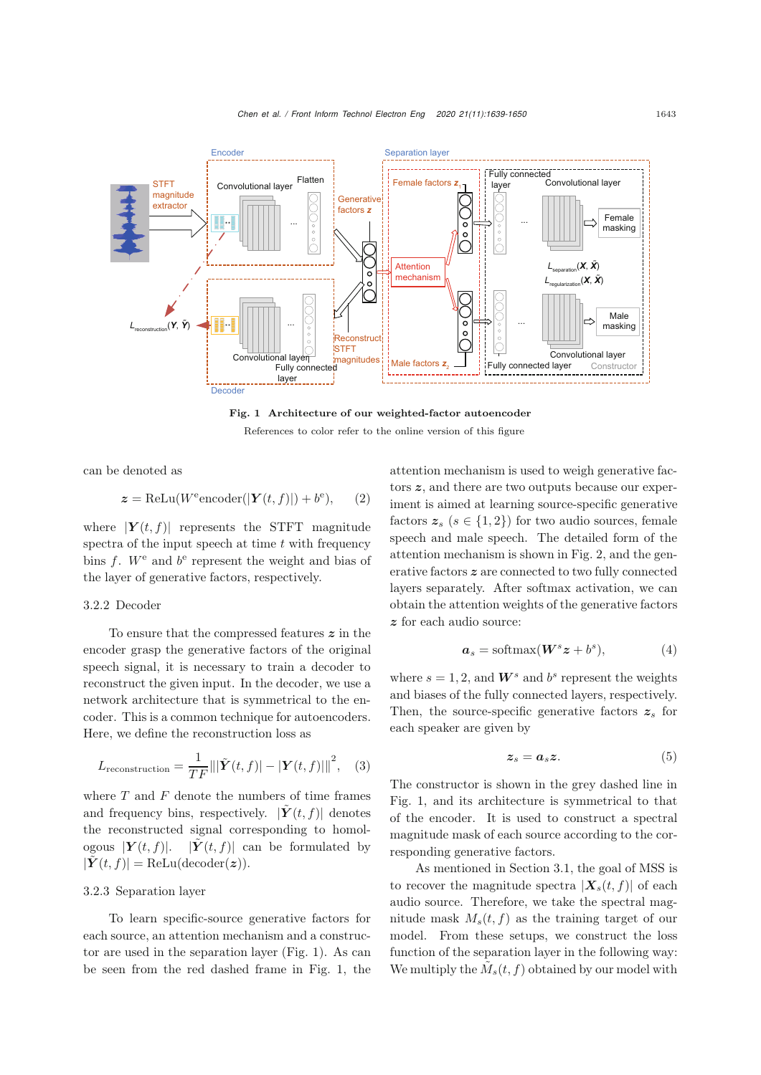

<span id="page-4-0"></span>Fig. 1 Architecture of our weighted-factor autoencoder References to color refer to the online version of this figure

can be denoted as

$$
z = \text{ReLu}(W^{\text{e}}\text{encoder}(|Y(t,f)|) + b^{\text{e}}), \quad (2)
$$

where  $|\mathbf{Y}(t, f)|$  represents the STFT magnitude spectra of the input speech at time  $t$  with frequency bins  $f$ . W<sup>e</sup> and  $b^e$  represent the weight and bias of the layer of generative factors, respectively.

#### 3.2.2 Decoder

To ensure that the compressed features *z* in the encoder grasp the generative factors of the original speech signal, it is necessary to train a decoder to reconstruct the given input. In the decoder, we use a network architecture that is symmetrical to the encoder. This is a common technique for autoencoders. Here, we define the reconstruction loss as

<span id="page-4-1"></span>
$$
L_{\text{reconstruction}} = \frac{1}{TF} |||\tilde{\boldsymbol{Y}}(t,f)| - |\boldsymbol{Y}(t,f)||^2, \quad (3)
$$

where  $T$  and  $F$  denote the numbers of time frames and frequency bins, respectively.  $|\tilde{Y}(t, f)|$  denotes the reconstructed signal corresponding to homologous  $|\mathbf{Y}(t, f)|$ .  $|\tilde{\mathbf{Y}}(t, f)|$  can be formulated by  $|\tilde{Y}(t, f)| = \text{ReLu}(\text{decoder}(z)).$ 

#### 3.2.3 Separation layer

To learn specific-source generative factors for each source, an attention mechanism and a constructor are used in the separation layer (Fig. [1\)](#page-4-0). As can be seen from the red dashed frame in Fig. [1,](#page-4-0) the

attention mechanism is used to weigh generative factors *z*, and there are two outputs because our experiment is aimed at learning source-specific generative factors  $z_s$  ( $s \in \{1,2\}$ ) for two audio sources, female speech and male speech. The detailed form of the attention mechanism is shown in Fig. [2,](#page-5-0) and the generative factors *z* are connected to two fully connected layers separately. After softmax activation, we can obtain the attention weights of the generative factors *z* for each audio source:

$$
a_s = \text{softmax}(W^s z + b^s),\tag{4}
$$

where  $s = 1, 2$ , and  $W^s$  and  $b^s$  represent the weights and biases of the fully connected layers, respectively. Then, the source-specific generative factors *z<sup>s</sup>* for each speaker are given by

$$
z_s = a_s z. \t\t(5)
$$

The constructor is shown in the grey dashed line in Fig. [1,](#page-4-0) and its architecture is symmetrical to that of the encoder. It is used to construct a spectral magnitude mask of each source according to the corresponding generative factors.

As mentioned in Section 3.1, the goal of MSS is to recover the magnitude spectra  $|\mathbf{X}_s(t, f)|$  of each audio source. Therefore, we take the spectral magnitude mask  $M_s(t, f)$  as the training target of our model. From these setups, we construct the loss function of the separation layer in the following way: We multiply the  $\tilde{M}_s(t, f)$  obtained by our model with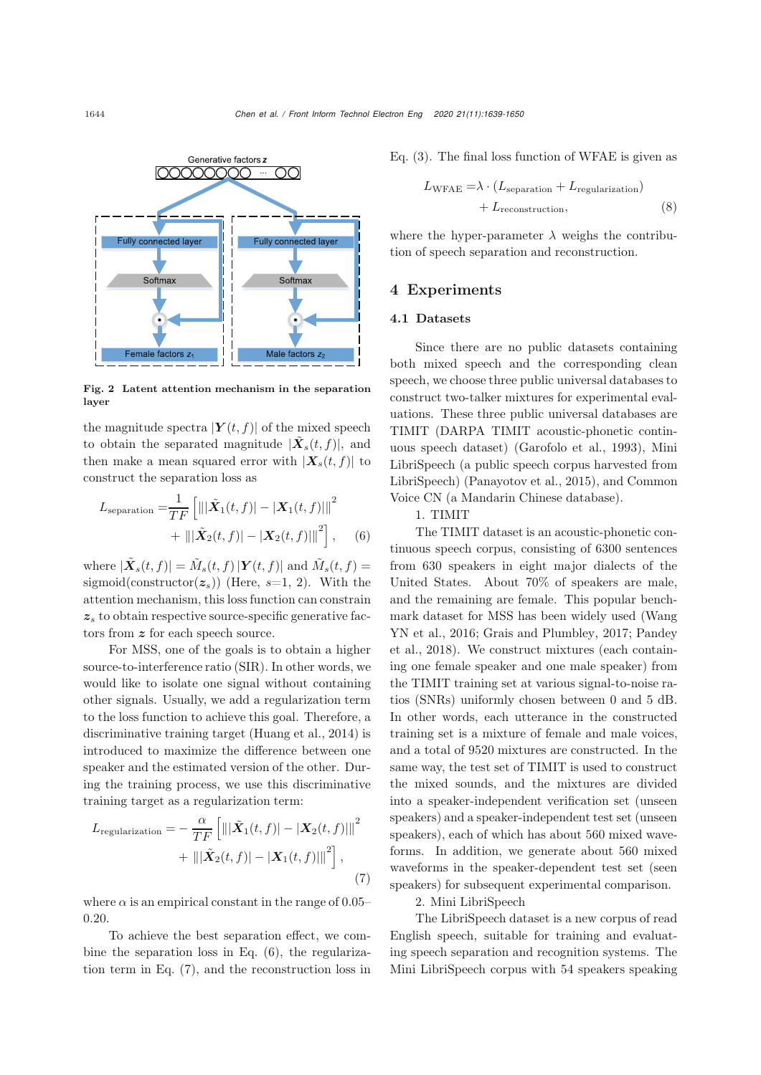

<span id="page-5-0"></span>Fig. 2 Latent attention mechanism in the separation layer

the magnitude spectra  $|\mathbf{Y}(t, f)|$  of the mixed speech to obtain the separated magnitude  $|\tilde{\mathbf{X}}_s(t, f)|$ , and then make a mean squared error with  $|\mathbf{X}_s(t, f)|$  to construct the separation loss as

<span id="page-5-1"></span>
$$
L_{\text{separation}} = \frac{1}{TF} \left[ \left\| |\tilde{\mathbf{X}}_1(t,f)| - |\mathbf{X}_1(t,f)| \right\|^2 + \left\| |\tilde{\mathbf{X}}_2(t,f)| - |\mathbf{X}_2(t,f)| \right\|^2 \right], \quad (6)
$$

where  $|\tilde{\mathbf{X}}_s(t, f)| = \tilde{M}_s(t, f) |\mathbf{Y}(t, f)|$  and  $\tilde{M}_s(t, f)$ sigmoid(constructor( $z<sub>s</sub>$ )) (Here,  $s=1, 2$ ). With the attention mechanism, this loss function can constrain  $z<sub>s</sub>$  to obtain respective source-specific generative factors from *z* for each speech source.

For MSS, one of the goals is to obtain a higher source-to-interference ratio (SIR). In other words, we would like to isolate one signal without containing other signals. Usually, we add a regularization term to the loss function to achieve this goal. Therefore, a discriminative training target [\(Huang et al., 2014](#page-11-9)) is introduced to maximize the difference between one speaker and the estimated version of the other. During the training process, we use this discriminative training target as a regularization term:

<span id="page-5-2"></span>
$$
L_{\text{regularization}} = -\frac{\alpha}{TF} \left[ \left\| |\tilde{\mathbf{X}}_1(t,f)| - |\mathbf{X}_2(t,f)| \right\|^2 + \left\| |\tilde{\mathbf{X}}_2(t,f)| - |\mathbf{X}_1(t,f)| \right\|^2 \right],\tag{7}
$$

where  $\alpha$  is an empirical constant in the range of 0.05– 0.20.

To achieve the best separation effect, we combine the separation loss in Eq. [\(6\)](#page-5-1), the regularization term in Eq. [\(7\)](#page-5-2), and the reconstruction loss in Eq. [\(3\)](#page-4-1). The final loss function of WFAE is given as

<span id="page-5-3"></span>
$$
L_{\text{WFAE}} = \lambda \cdot (L_{\text{separation}} + L_{\text{regularization}}) + L_{\text{reconstruction}},
$$
\n(8)

where the hyper-parameter  $\lambda$  weighs the contribution of speech separation and reconstruction.

## 4 Experiments

#### 4.1 Datasets

Since there are no public datasets containing both mixed speech and the corresponding clean speech, we choose three public universal databases to construct two-talker mixtures for experimental evaluations. These three public universal databases are TIMIT (DARPA TIMIT acoustic-phonetic continuous speech dataset) [\(Garofolo et al.](#page-10-10), [1993\)](#page-10-10), Mini LibriSpeech (a public speech corpus harvested from LibriSpeech) [\(Panayotov et al., 2015\)](#page-11-22), and Common Voice CN (a Mandarin Chinese database).

1. TIMIT

The TIMIT dataset is an acoustic-phonetic continuous speech corpus, consisting of 6300 sentences from 630 speakers in eight major dialects of the United States. About 70% of speakers are male, and the remaining are female. This popular benchmark dat[aset](#page-11-10) [for](#page-11-10) [MSS](#page-11-10) [has](#page-11-10) [been](#page-11-10) [widely](#page-11-10) [used](#page-11-10) [\(](#page-11-10)Wang YN [et](#page-11-15) [al.,](#page-11-15) [2016](#page-11-10)[;](#page-11-15) [Grais and Plumbley](#page-10-8)[,](#page-11-15) [2017](#page-10-8)[;](#page-11-15) Pandey et al., [2018\)](#page-11-15). We construct mixtures (each containing one female speaker and one male speaker) from the TIMIT training set at various signal-to-noise ratios (SNRs) uniformly chosen between 0 and 5 dB. In other words, each utterance in the constructed training set is a mixture of female and male voices, and a total of 9520 mixtures are constructed. In the same way, the test set of TIMIT is used to construct the mixed sounds, and the mixtures are divided into a speaker-independent verification set (unseen speakers) and a speaker-independent test set (unseen speakers), each of which has about 560 mixed waveforms. In addition, we generate about 560 mixed waveforms in the speaker-dependent test set (seen speakers) for subsequent experimental comparison.

## 2. Mini LibriSpeech

The LibriSpeech dataset is a new corpus of read English speech, suitable for training and evaluating speech separation and recognition systems. The Mini LibriSpeech corpus with 54 speakers speaking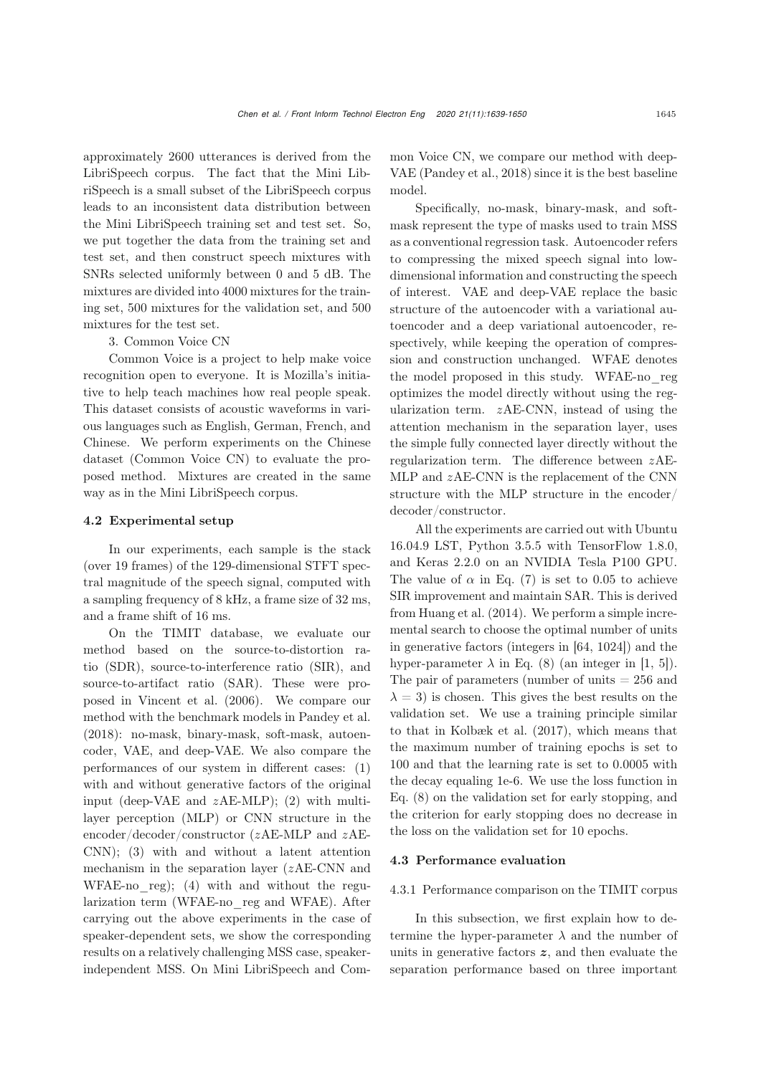approximately 2600 utterances is derived from the LibriSpeech corpus. The fact that the Mini LibriSpeech is a small subset of the LibriSpeech corpus leads to an inconsistent data distribution between the Mini LibriSpeech training set and test set. So, we put together the data from the training set and test set, and then construct speech mixtures with SNRs selected uniformly between 0 and 5 dB. The mixtures are divided into 4000 mixtures for the training set, 500 mixtures for the validation set, and 500 mixtures for the test set.

## 3. Common Voice CN

Common Voice is a project to help make voice recognition open to everyone. It is Mozilla's initiative to help teach machines how real people speak. This dataset consists of acoustic waveforms in various languages such as English, German, French, and Chinese. We perform experiments on the Chinese dataset (Common Voice CN) to evaluate the proposed method. Mixtures are created in the same way as in the Mini LibriSpeech corpus.

#### 4.2 Experimental setup

In our experiments, each sample is the stack (over 19 frames) of the 129-dimensional STFT spectral magnitude of the speech signal, computed with a sampling frequency of 8 kHz, a frame size of 32 ms, and a frame shift of 16 ms.

On the TIMIT database, we evaluate our method based on the source-to-distortion ratio (SDR), source-to-interference ratio (SIR), and source-to-artifact ratio (SAR). These were proposed in [Vincent et al.](#page-11-23) [\(2006](#page-11-23)). We compare our method with the benchmark models in [Pandey et al.](#page-11-15) [\(2018](#page-11-15)): no-mask, binary-mask, soft-mask, autoencoder, VAE, and deep-VAE. We also compare the performances of our system in different cases: (1) with and without generative factors of the original input (deep-VAE and  $zAE-MLP$ ); (2) with multilayer perception (MLP) or CNN structure in the encoder/decoder/constructor (zAE-MLP and zAE-CNN); (3) with and without a latent attention mechanism in the separation layer (zAE-CNN and WFAE-no reg); (4) with and without the regularization term (WFAE-no\_reg and WFAE). After carrying out the above experiments in the case of speaker-dependent sets, we show the corresponding results on a relatively challenging MSS case, speakerindependent MSS. On Mini LibriSpeech and Common Voice CN, we compare our method with deep-VAE [\(Pandey et al.](#page-11-15), [2018](#page-11-15)) since it is the best baseline model.

Specifically, no-mask, binary-mask, and softmask represent the type of masks used to train MSS as a conventional regression task. Autoencoder refers to compressing the mixed speech signal into lowdimensional information and constructing the speech of interest. VAE and deep-VAE replace the basic structure of the autoencoder with a variational autoencoder and a deep variational autoencoder, respectively, while keeping the operation of compression and construction unchanged. WFAE denotes the model proposed in this study. WFAE-no\_reg optimizes the model directly without using the regularization term. zAE-CNN, instead of using the attention mechanism in the separation layer, uses the simple fully connected layer directly without the regularization term. The difference between zAE-MLP and zAE-CNN is the replacement of the CNN structure with the MLP structure in the encoder/ decoder/constructor.

All the experiments are carried out with Ubuntu 16.04.9 LST, Python 3.5.5 with TensorFlow 1.8.0, and Keras 2.2.0 on an NVIDIA Tesla P100 GPU. The value of  $\alpha$  in Eq. [\(7\)](#page-5-2) is set to 0.05 to achieve SIR improvement and maintain SAR. This is derived from [Huang et al.](#page-11-9) [\(2014\)](#page-11-9). We perform a simple incremental search to choose the optimal number of units in generative factors (integers in [64, 1024]) and the hyper-parameter  $\lambda$  in Eq. [\(8\)](#page-5-3) (an integer in [1, 5]). The pair of parameters (number of units  $= 256$  and  $\lambda = 3$ ) is chosen. This gives the best results on the validation set. We use a training principle similar to that in [Kolbæk et al.](#page-11-24) [\(2017\)](#page-11-24), which means that the maximum number of training epochs is set to 100 and that the learning rate is set to 0.0005 with the decay equaling 1e-6. We use the loss function in Eq. [\(8\)](#page-5-3) on the validation set for early stopping, and the criterion for early stopping does no decrease in the loss on the validation set for 10 epochs.

#### 4.3 Performance evaluation

#### 4.3.1 Performance comparison on the TIMIT corpus

In this subsection, we first explain how to determine the hyper-parameter  $\lambda$  and the number of units in generative factors *z*, and then evaluate the separation performance based on three important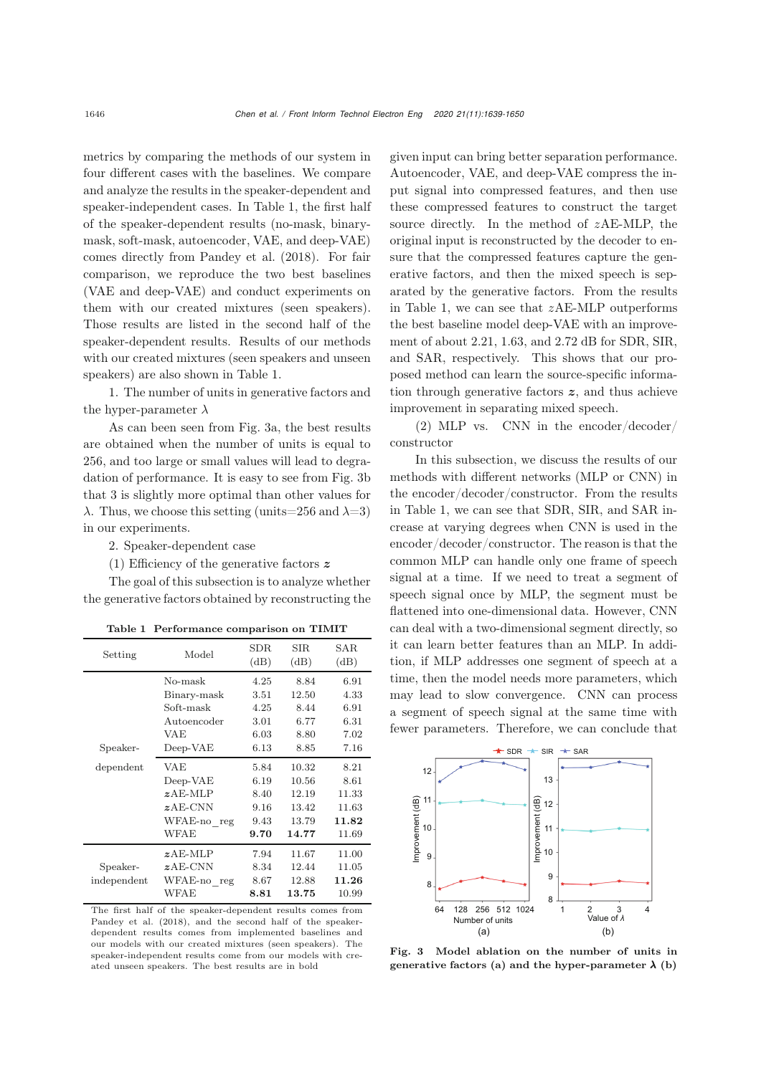metrics by comparing the methods of our system in four different cases with the baselines. We compare and analyze the results in the speaker-dependent and speaker-independent cases. In Table [1,](#page-7-0) the first half of the speaker-dependent results (no-mask, binarymask, soft-mask, autoencoder, VAE, and deep-VAE) comes directly from [Pandey et al.](#page-11-15) [\(2018](#page-11-15)). For fair comparison, we reproduce the two best baselines (VAE and deep-VAE) and conduct experiments on them with our created mixtures (seen speakers). Those results are listed in the second half of the speaker-dependent results. Results of our methods with our created mixtures (seen speakers and unseen speakers) are also shown in Table [1.](#page-7-0)

1. The number of units in generative factors and the hyper-parameter  $\lambda$ 

As can been seen from Fig. [3a](#page-7-1), the best results are obtained when the number of units is equal to 256, and too large or small values will lead to degradation of performance. It is easy to see from Fig. [3b](#page-7-1) that 3 is slightly more optimal than other values for  $\lambda$ . Thus, we choose this setting (units=256 and  $\lambda$ =3) in our experiments.

2. Speaker-dependent case

(1) Efficiency of the generative factors *z*

The goal of this subsection is to analyze whether the generative factors obtained by reconstructing the

<span id="page-7-0"></span>

|  | Table 1 Performance comparison on TIMIT |  |  |  |
|--|-----------------------------------------|--|--|--|
|--|-----------------------------------------|--|--|--|

| Setting     | Model       | SDR.<br>(dB) | <b>SIR</b><br>(dB) | SAR<br>(dB) |
|-------------|-------------|--------------|--------------------|-------------|
|             | No-mask     | 4.25         | 8.84               | 6.91        |
|             | Binary-mask | 3.51         | 12.50              | 4.33        |
|             | Soft-mask   | 4.25         | 8.44               | 6.91        |
|             | Autoencoder | 3.01         | 6.77               | 6.31        |
|             | VAE         | 6.03         | 8.80               | 7.02        |
| Speaker-    | $Deep-VAE$  | 6.13         | 8.85               | 7.16        |
| dependent   | VAE         | 5.84         | 10.32              | 8.21        |
|             | $Deep-VAE$  | 6.19         | 10.56              | 8.61        |
|             | $z$ AE-MLP  | 8.40         | 12.19              | 11.33       |
|             | $z$ AE-CNN  | 9.16         | 13.42              | 11.63       |
|             | WFAE-no reg | 9.43         | 13.79              | 11.82       |
|             | <b>WFAE</b> | 9.70         | 14.77              | 11.69       |
|             | $zAE-MLP$   | 7.94         | 11.67              | 11.00       |
| Speaker-    | $zAE-CNN$   | 8.34         | 12.44              | 11.05       |
| independent | WFAE-no reg | 8.67         | 12.88              | 11.26       |
|             | WFAE        | 8.81         | $13.75\,$          | 10.99       |

The first half of the speaker-dependent results comes from [Pandey et al.](#page-11-15) [\(2018](#page-11-15)), and the second half of the speakerdependent results comes from implemented baselines and our models with our created mixtures (seen speakers). The speaker-independent results come from our models with created unseen speakers. The best results are in bold

given input can bring better separation performance. Autoencoder, VAE, and deep-VAE compress the input signal into compressed features, and then use these compressed features to construct the target source directly. In the method of zAE-MLP, the original input is reconstructed by the decoder to ensure that the compressed features capture the generative factors, and then the mixed speech is separated by the generative factors. From the results in Table [1,](#page-7-0) we can see that zAE-MLP outperforms the best baseline model deep-VAE with an improvement of about 2.21, 1.63, and 2.72 dB for SDR, SIR, and SAR, respectively. This shows that our proposed method can learn the source-specific information through generative factors *z*, and thus achieve improvement in separating mixed speech.

(2) MLP vs. CNN in the encoder/decoder/ constructor

In this subsection, we discuss the results of our methods with different networks (MLP or CNN) in the encoder/decoder/constructor. From the results in Table [1,](#page-7-0) we can see that SDR, SIR, and SAR increase at varying degrees when CNN is used in the encoder/decoder/constructor. The reason is that the common MLP can handle only one frame of speech signal at a time. If we need to treat a segment of speech signal once by MLP, the segment must be flattened into one-dimensional data. However, CNN can deal with a two-dimensional segment directly, so it can learn better features than an MLP. In addition, if MLP addresses one segment of speech at a time, then the model needs more parameters, which may lead to slow convergence. CNN can process a segment of speech signal at the same time with fewer parameters. Therefore, we can conclude that



<span id="page-7-1"></span>Fig. 3 Model ablation on the number of units in generative factors (a) and the hyper-parameter  $\lambda$  (b)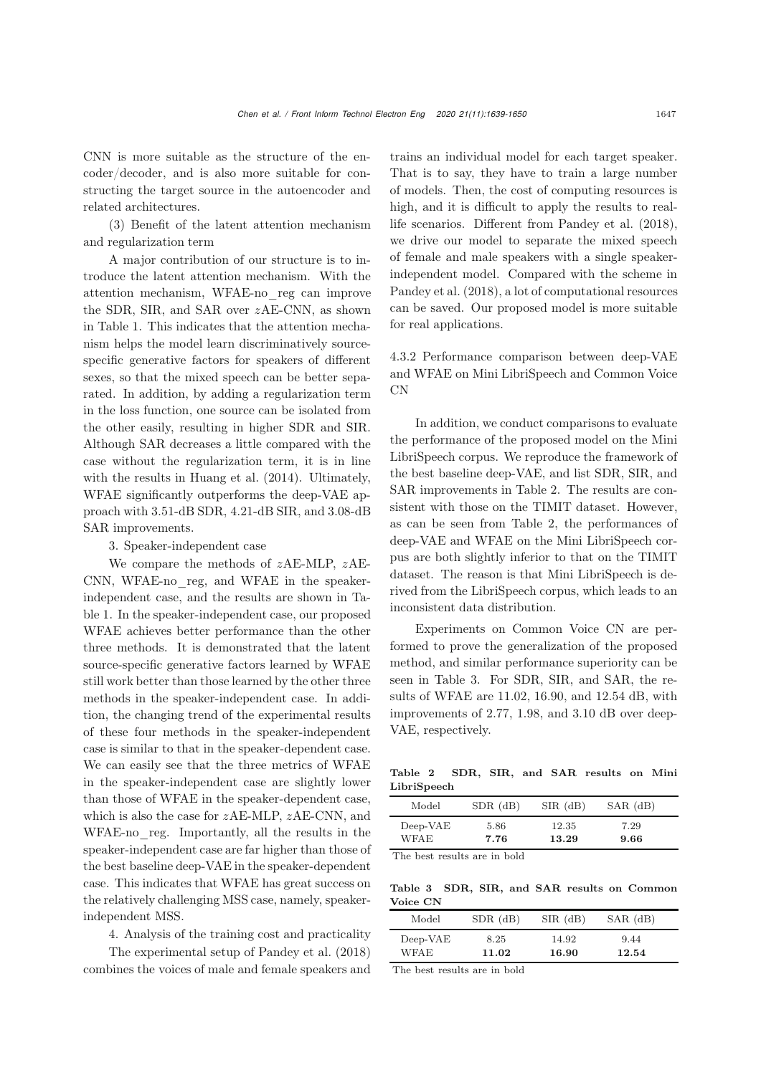CNN is more suitable as the structure of the encoder/decoder, and is also more suitable for constructing the target source in the autoencoder and related architectures.

(3) Benefit of the latent attention mechanism and regularization term

A major contribution of our structure is to introduce the latent attention mechanism. With the attention mechanism, WFAE-no\_reg can improve the SDR, SIR, and SAR over zAE-CNN, as shown in Table [1.](#page-7-0) This indicates that the attention mechanism helps the model learn discriminatively sourcespecific generative factors for speakers of different sexes, so that the mixed speech can be better separated. In addition, by adding a regularization term in the loss function, one source can be isolated from the other easily, resulting in higher SDR and SIR. Although SAR decreases a little compared with the case without the regularization term, it is in line with the results in [Huang et al.](#page-11-9) [\(2014](#page-11-9)). Ultimately, WFAE significantly outperforms the deep-VAE approach with 3.51-dB SDR, 4.21-dB SIR, and 3.08-dB SAR improvements.

#### 3. Speaker-independent case

We compare the methods of zAE-MLP, zAE-CNN, WFAE-no\_reg, and WFAE in the speakerindependent case, and the results are shown in Table [1.](#page-7-0) In the speaker-independent case, our proposed WFAE achieves better performance than the other three methods. It is demonstrated that the latent source-specific generative factors learned by WFAE still work better than those learned by the other three methods in the speaker-independent case. In addition, the changing trend of the experimental results of these four methods in the speaker-independent case is similar to that in the speaker-dependent case. We can easily see that the three metrics of WFAE in the speaker-independent case are slightly lower than those of WFAE in the speaker-dependent case, which is also the case for  $zAE-MLP$ ,  $zAE-CNN$ , and WFAE-no\_reg. Importantly, all the results in the speaker-independent case are far higher than those of the best baseline deep-VAE in the speaker-dependent case. This indicates that WFAE has great success on the relatively challenging MSS case, namely, speakerindependent MSS.

4. Analysis of the training cost and practicality

The experimental setup of [Pandey et al.](#page-11-15) [\(2018](#page-11-15)) combines the voices of male and female speakers and trains an individual model for each target speaker. That is to say, they have to train a large number of models. Then, the cost of computing resources is high, and it is difficult to apply the results to reallife scenarios. Different from [Pandey et al.](#page-11-15) [\(2018\)](#page-11-15), we drive our model to separate the mixed speech of female and male speakers with a single speakerindependent model. Compared with the scheme in [Pandey et al.](#page-11-15) [\(2018](#page-11-15)), a lot of computational resources can be saved. Our proposed model is more suitable for real applications.

4.3.2 Performance comparison between deep-VAE and WFAE on Mini LibriSpeech and Common Voice CN

In addition, we conduct comparisons to evaluate the performance of the proposed model on the Mini LibriSpeech corpus. We reproduce the framework of the best baseline deep-VAE, and list SDR, SIR, and SAR improvements in Table [2.](#page-8-0) The results are consistent with those on the TIMIT dataset. However, as can be seen from Table [2,](#page-8-0) the performances of deep-VAE and WFAE on the Mini LibriSpeech corpus are both slightly inferior to that on the TIMIT dataset. The reason is that Mini LibriSpeech is derived from the LibriSpeech corpus, which leads to an inconsistent data distribution.

Experiments on Common Voice CN are performed to prove the generalization of the proposed method, and similar performance superiority can be seen in Table [3.](#page-8-1) For SDR, SIR, and SAR, the results of WFAE are 11.02, 16.90, and 12.54 dB, with improvements of 2.77, 1.98, and 3.10 dB over deep-VAE, respectively.

Table 2 SDR, SIR, and SAR results on Mini LibriSpeech

<span id="page-8-0"></span>

| Model      | $SDR$ (dB) | $SIR$ (dB) | $SAR$ (dB) |
|------------|------------|------------|------------|
| $Deep-VAE$ | 5.86       | 12.35      | 7.29       |
| WFA E      | 7.76       | 13.29      | 9.66       |

The best results are in bold

<span id="page-8-1"></span>Table 3 SDR, SIR, and SAR results on Common Voice CN

| Model       | $SDR$ (dB) | $SIR$ (dB) | $SAR$ (dB) |
|-------------|------------|------------|------------|
| $Deep-VAE$  | 8.25       | 14.92      | 9.44       |
| <b>WFAE</b> | 11.02      | 16.90      | 12.54      |

The best results are in bold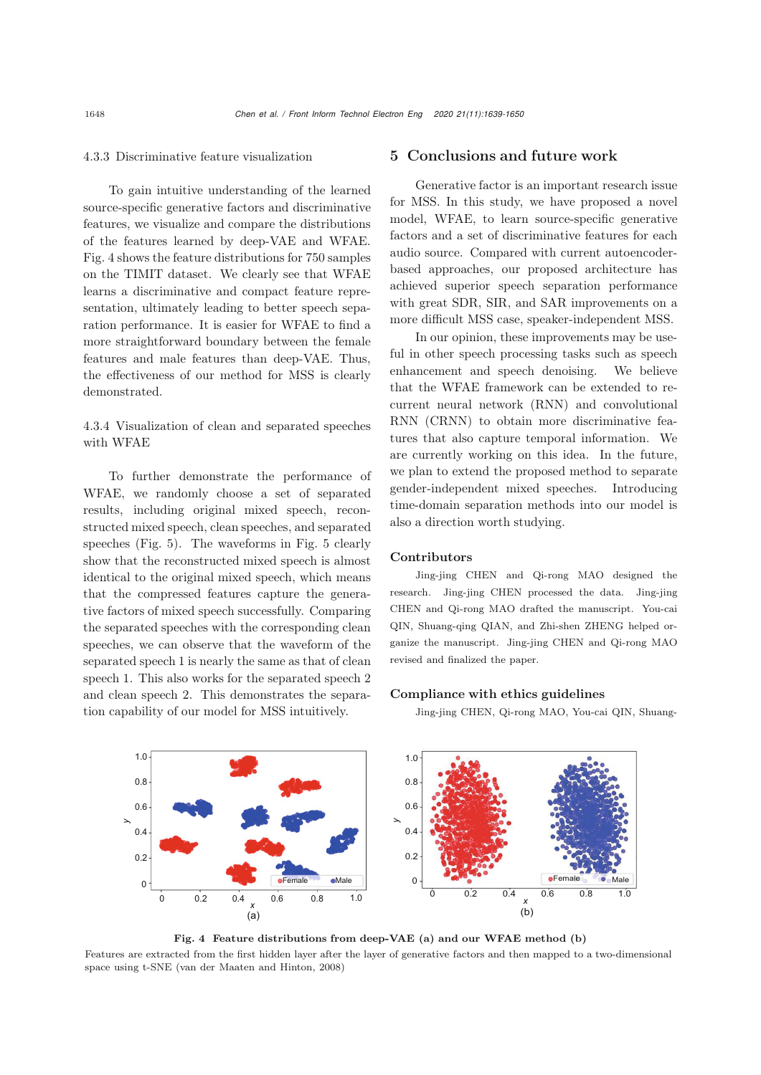#### 4.3.3 Discriminative feature visualization

To gain intuitive understanding of the learned source-specific generative factors and discriminative features, we visualize and compare the distributions of the features learned by deep-VAE and WFAE. Fig. [4](#page-9-0) shows the feature distributions for 750 samples on the TIMIT dataset. We clearly see that WFAE learns a discriminative and compact feature representation, ultimately leading to better speech separation performance. It is easier for WFAE to find a more straightforward boundary between the female features and male features than deep-VAE. Thus, the effectiveness of our method for MSS is clearly demonstrated.

# 4.3.4 Visualization of clean and separated speeches with WFAE

To further demonstrate the performance of WFAE, we randomly choose a set of separated results, including original mixed speech, reconstructed mixed speech, clean speeches, and separated speeches (Fig. [5\)](#page-10-11). The waveforms in Fig. [5](#page-10-11) clearly show that the reconstructed mixed speech is almost identical to the original mixed speech, which means that the compressed features capture the generative factors of mixed speech successfully. Comparing the separated speeches with the corresponding clean speeches, we can observe that the waveform of the separated speech 1 is nearly the same as that of clean speech 1. This also works for the separated speech 2 and clean speech 2. This demonstrates the separation capability of our model for MSS intuitively.

# 5 Conclusions and future work

Generative factor is an important research issue for MSS. In this study, we have proposed a novel model, WFAE, to learn source-specific generative factors and a set of discriminative features for each audio source. Compared with current autoencoderbased approaches, our proposed architecture has achieved superior speech separation performance with great SDR, SIR, and SAR improvements on a more difficult MSS case, speaker-independent MSS.

In our opinion, these improvements may be useful in other speech processing tasks such as speech enhancement and speech denoising. We believe that the WFAE framework can be extended to recurrent neural network (RNN) and convolutional RNN (CRNN) to obtain more discriminative features that also capture temporal information. We are currently working on this idea. In the future, we plan to extend the proposed method to separate gender-independent mixed speeches. Introducing time-domain separation methods into our model is also a direction worth studying.

# Contributors

Jing-jing CHEN and Qi-rong MAO designed the research. Jing-jing CHEN processed the data. Jing-jing CHEN and Qi-rong MAO drafted the manuscript. You-cai QIN, Shuang-qing QIAN, and Zhi-shen ZHENG helped organize the manuscript. Jing-jing CHEN and Qi-rong MAO revised and finalized the paper.

#### Compliance with ethics guidelines

Jing-jing CHEN, Qi-rong MAO, You-cai QIN, Shuang-



<span id="page-9-0"></span>Fig. 4 Feature distributions from deep-VAE (a) and our WFAE method (b)

Features are extracted from the first hidden layer after the layer of generative factors and then mapped to a two-dimensional space using t-SNE [\(van der Maaten and Hinton](#page-11-25), [2008\)](#page-11-25)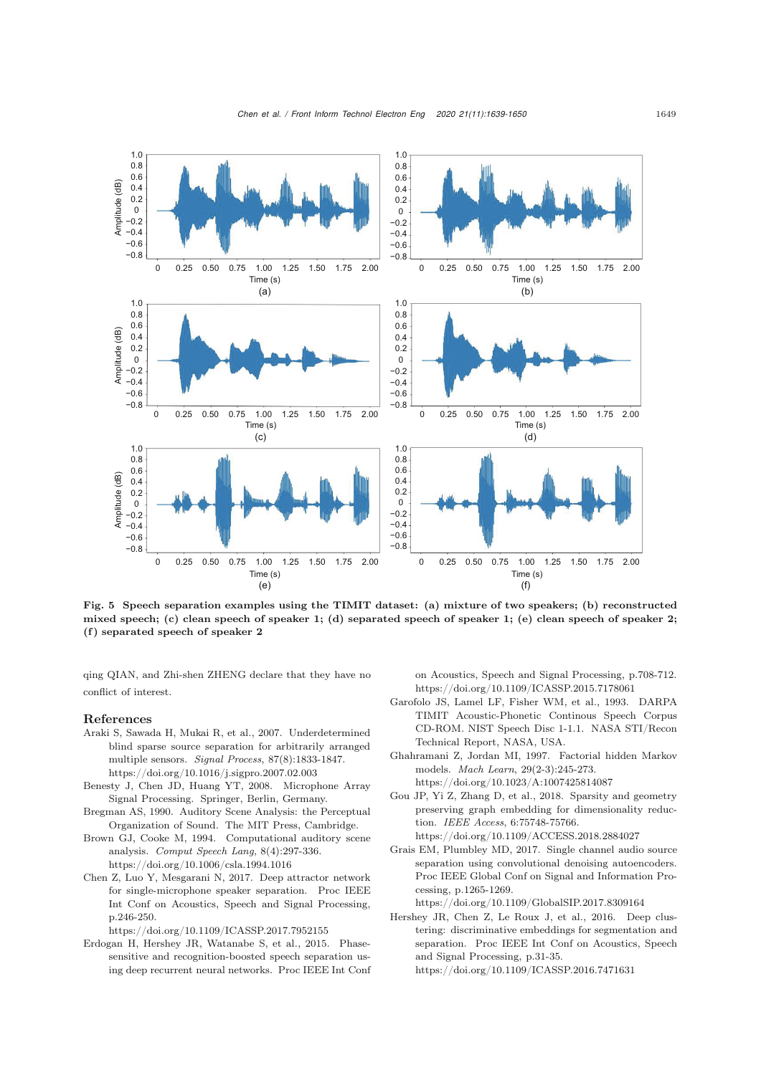

<span id="page-10-11"></span>Fig. 5 Speech separation examples using the TIMIT dataset: (a) mixture of two speakers; (b) reconstructed mixed speech; (c) clean speech of speaker 1; (d) separated speech of speaker 1; (e) clean speech of speaker 2; (f) separated speech of speaker 2

qing QIAN, and Zhi-shen ZHENG declare that they have no conflict of interest.

#### References

- <span id="page-10-0"></span>Araki S, Sawada H, Mukai R, et al., 2007. Underdetermined blind sparse source separation for arbitrarily arranged multiple sensors. *Signal Process*, 87(8):1833-1847. https://doi.org/10.1016/j.sigpro.2007.02.003
- <span id="page-10-1"></span>Benesty J, Chen JD, Huang YT, 2008. Microphone Array Signal Processing. Springer, Berlin, Germany.
- <span id="page-10-2"></span>Bregman AS, 1990. Auditory Scene Analysis: the Perceptual Organization of Sound. The MIT Press, Cambridge.
- <span id="page-10-3"></span>Brown GJ, Cooke M, 1994. Computational auditory scene analysis. *Comput Speech Lang*, 8(4):297-336. https://doi.org/10.1006/csla.1994.1016
- <span id="page-10-7"></span>Chen Z, Luo Y, Mesgarani N, 2017. Deep attractor network for single-microphone speaker separation. Proc IEEE Int Conf on Acoustics, Speech and Signal Processing, p.246-250.

https://doi.org/10.1109/ICASSP.2017.7952155

<span id="page-10-9"></span>Erdogan H, Hershey JR, Watanabe S, et al., 2015. Phasesensitive and recognition-boosted speech separation using deep recurrent neural networks. Proc IEEE Int Conf on Acoustics, Speech and Signal Processing, p.708-712. https://doi.org/10.1109/ICASSP.2015.7178061

- <span id="page-10-10"></span>Garofolo JS, Lamel LF, Fisher WM, et al., 1993. DARPA TIMIT Acoustic-Phonetic Continous Speech Corpus CD-ROM. NIST Speech Disc 1-1.1. NASA STI/Recon Technical Report, NASA, USA.
- <span id="page-10-4"></span>Ghahramani Z, Jordan MI, 1997. Factorial hidden Markov models. *Mach Learn*, 29(2-3):245-273. https://doi.org/10.1023/A:1007425814087
- <span id="page-10-5"></span>Gou JP, Yi Z, Zhang D, et al., 2018. Sparsity and geometry preserving graph embedding for dimensionality reduction. *IEEE Access*, 6:75748-75766. https://doi.org/10.1109/ACCESS.2018.2884027
- <span id="page-10-8"></span>Grais EM, Plumbley MD, 2017. Single channel audio source separation using convolutional denoising autoencoders. Proc IEEE Global Conf on Signal and Information Processing, p.1265-1269.

https://doi.org/10.1109/GlobalSIP.2017.8309164

<span id="page-10-6"></span>Hershey JR, Chen Z, Le Roux J, et al., 2016. Deep clustering: discriminative embeddings for segmentation and separation. Proc IEEE Int Conf on Acoustics, Speech and Signal Processing, p.31-35. https://doi.org/10.1109/ICASSP.2016.7471631